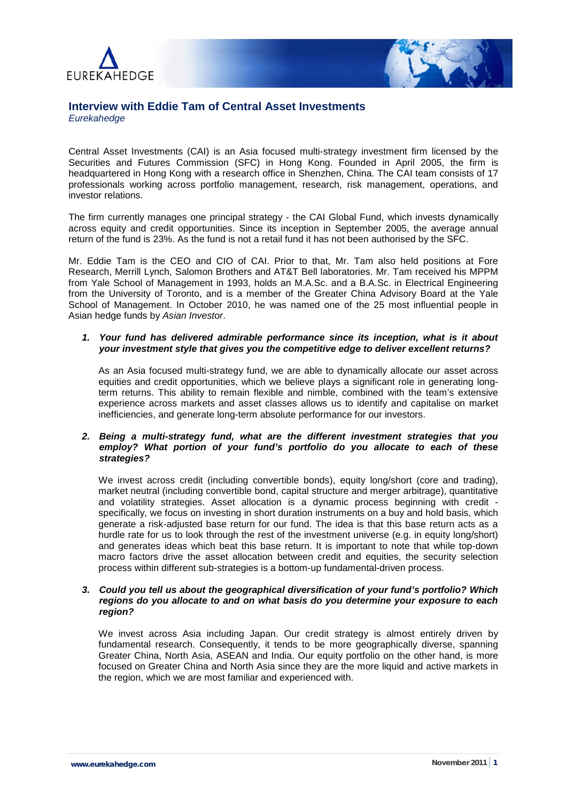



# **Interview with Eddie Tam of Central Asset Investments** *Eurekahedge*

Central Asset Investments (CAI) is an Asia focused multi-strategy investment firm licensed by the Securities and Futures Commission (SFC) in Hong Kong. Founded in April 2005, the firm is headquartered in Hong Kong with a research office in Shenzhen, China. The CAI team consists of 17 professionals working across portfolio management, research, risk management, operations, and investor relations.

The firm currently manages one principal strategy - the CAI Global Fund, which invests dynamically across equity and credit opportunities. Since its inception in September 2005, the average annual return of the fund is 23%. As the fund is not a retail fund it has not been authorised by the SFC.

Mr. Eddie Tam is the CEO and CIO of CAI. Prior to that, Mr. Tam also held positions at Fore Research, Merrill Lynch, Salomon Brothers and AT&T Bell laboratories. Mr. Tam received his MPPM from Yale School of Management in 1993, holds an M.A.Sc. and a B.A.Sc. in Electrical Engineering from the University of Toronto, and is a member of the Greater China Advisory Board at the Yale School of Management. In October 2010, he was named one of the 25 most influential people in Asian hedge funds by *Asian Investor*.

# *1. Your fund has delivered admirable performance since its inception, what is it about your investment style that gives you the competitive edge to deliver excellent returns?*

As an Asia focused multi-strategy fund, we are able to dynamically allocate our asset across equities and credit opportunities, which we believe plays a significant role in generating longterm returns. This ability to remain flexible and nimble, combined with the team's extensive experience across markets and asset classes allows us to identify and capitalise on market inefficiencies, and generate long-term absolute performance for our investors.

# *2. Being a multi-strategy fund, what are the different investment strategies that you employ? What portion of your fund's portfolio do you allocate to each of these strategies?*

We invest across credit (including convertible bonds), equity long/short (core and trading), market neutral (including convertible bond, capital structure and merger arbitrage), quantitative and volatility strategies. Asset allocation is a dynamic process beginning with credit specifically, we focus on investing in short duration instruments on a buy and hold basis, which generate a risk-adjusted base return for our fund. The idea is that this base return acts as a hurdle rate for us to look through the rest of the investment universe (e.g. in equity long/short) and generates ideas which beat this base return. It is important to note that while top-down macro factors drive the asset allocation between credit and equities, the security selection process within different sub-strategies is a bottom-up fundamental-driven process.

# *3. Could you tell us about the geographical diversification of your fund's portfolio? Which regions do you allocate to and on what basis do you determine your exposure to each region?*

We invest across Asia including Japan. Our credit strategy is almost entirely driven by fundamental research. Consequently, it tends to be more geographically diverse, spanning Greater China, North Asia, ASEAN and India. Our equity portfolio on the other hand, is more focused on Greater China and North Asia since they are the more liquid and active markets in the region, which we are most familiar and experienced with.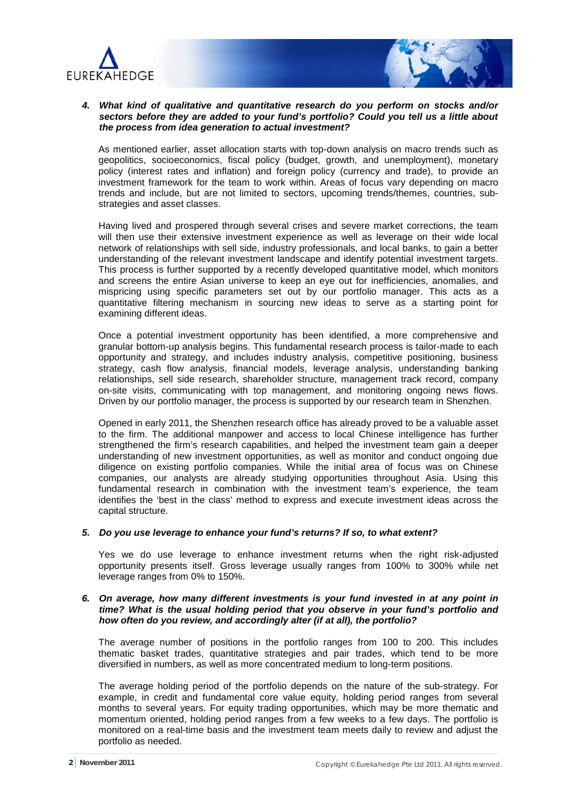



# *4. What kind of qualitative and quantitative research do you perform on stocks and/or sectors before they are added to your fund's portfolio? Could you tell us a little about the process from idea generation to actual investment?*

As mentioned earlier, asset allocation starts with top-down analysis on macro trends such as geopolitics, socioeconomics, fiscal policy (budget, growth, and unemployment), monetary policy (interest rates and inflation) and foreign policy (currency and trade), to provide an investment framework for the team to work within. Areas of focus vary depending on macro trends and include, but are not limited to sectors, upcoming trends/themes, countries, substrategies and asset classes.

Having lived and prospered through several crises and severe market corrections, the team will then use their extensive investment experience as well as leverage on their wide local network of relationships with sell side, industry professionals, and local banks, to gain a better understanding of the relevant investment landscape and identify potential investment targets. This process is further supported by a recently developed quantitative model, which monitors and screens the entire Asian universe to keep an eye out for inefficiencies, anomalies, and mispricing using specific parameters set out by our portfolio manager. This acts as a quantitative filtering mechanism in sourcing new ideas to serve as a starting point for examining different ideas.

Once a potential investment opportunity has been identified, a more comprehensive and granular bottom-up analysis begins. This fundamental research process is tailor-made to each opportunity and strategy, and includes industry analysis, competitive positioning, business strategy, cash flow analysis, financial models, leverage analysis, understanding banking relationships, sell side research, shareholder structure, management track record, company on-site visits, communicating with top management, and monitoring ongoing news flows. Driven by our portfolio manager, the process is supported by our research team in Shenzhen.

Opened in early 2011, the Shenzhen research office has already proved to be a valuable asset to the firm. The additional manpower and access to local Chinese intelligence has further strengthened the firm's research capabilities, and helped the investment team gain a deeper understanding of new investment opportunities, as well as monitor and conduct ongoing due diligence on existing portfolio companies. While the initial area of focus was on Chinese companies, our analysts are already studying opportunities throughout Asia. Using this fundamental research in combination with the investment team's experience, the team identifies the 'best in the class' method to express and execute investment ideas across the capital structure.

### *5. Do you use leverage to enhance your fund's returns? If so, to what extent?*

Yes we do use leverage to enhance investment returns when the right risk-adjusted opportunity presents itself. Gross leverage usually ranges from 100% to 300% while net leverage ranges from 0% to 150%.

# *6. On average, how many different investments is your fund invested in at any point in time? What is the usual holding period that you observe in your fund's portfolio and how often do you review, and accordingly alter (if at all), the portfolio?*

The average number of positions in the portfolio ranges from 100 to 200. This includes thematic basket trades, quantitative strategies and pair trades, which tend to be more diversified in numbers, as well as more concentrated medium to long-term positions.

The average holding period of the portfolio depends on the nature of the sub-strategy. For example, in credit and fundamental core value equity, holding period ranges from several months to several years. For equity trading opportunities, which may be more thematic and momentum oriented, holding period ranges from a few weeks to a few days. The portfolio is monitored on a real-time basis and the investment team meets daily to review and adjust the portfolio as needed.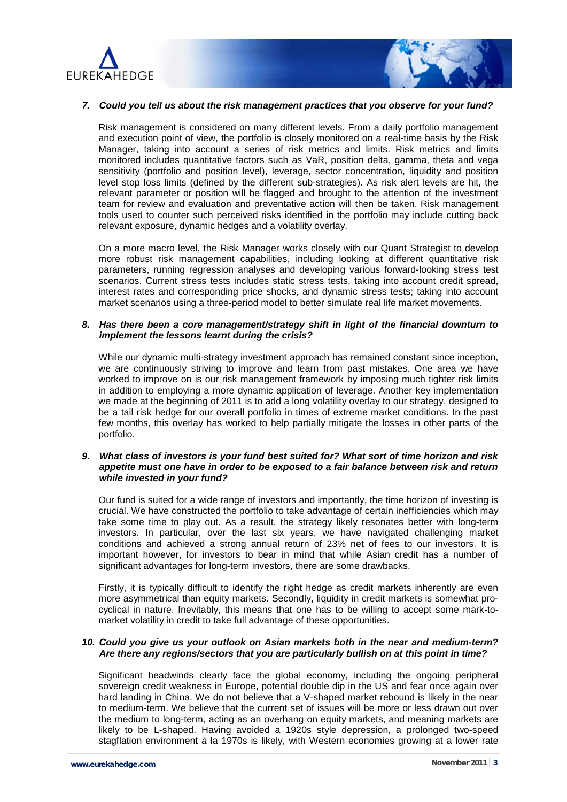



#### *7. Could you tell us about the risk management practices that you observe for your fund?*

Risk management is considered on many different levels. From a daily portfolio management and execution point of view, the portfolio is closely monitored on a real-time basis by the Risk Manager, taking into account a series of risk metrics and limits. Risk metrics and limits monitored includes quantitative factors such as VaR, position delta, gamma, theta and vega sensitivity (portfolio and position level), leverage, sector concentration, liquidity and position level stop loss limits (defined by the different sub-strategies). As risk alert levels are hit, the relevant parameter or position will be flagged and brought to the attention of the investment team for review and evaluation and preventative action will then be taken. Risk management tools used to counter such perceived risks identified in the portfolio may include cutting back relevant exposure, dynamic hedges and a volatility overlay.

On a more macro level, the Risk Manager works closely with our Quant Strategist to develop more robust risk management capabilities, including looking at different quantitative risk parameters, running regression analyses and developing various forward-looking stress test scenarios. Current stress tests includes static stress tests, taking into account credit spread, interest rates and corresponding price shocks, and dynamic stress tests; taking into account market scenarios using a three-period model to better simulate real life market movements.

### *8. Has there been a core management/strategy shift in light of the financial downturn to implement the lessons learnt during the crisis?*

While our dynamic multi-strategy investment approach has remained constant since inception, we are continuously striving to improve and learn from past mistakes. One area we have worked to improve on is our risk management framework by imposing much tighter risk limits in addition to employing a more dynamic application of leverage. Another key implementation we made at the beginning of 2011 is to add a long volatility overlay to our strategy, designed to be a tail risk hedge for our overall portfolio in times of extreme market conditions. In the past few months, this overlay has worked to help partially mitigate the losses in other parts of the portfolio.

### *9. What class of investors is your fund best suited for? What sort of time horizon and risk appetite must one have in order to be exposed to a fair balance between risk and return while invested in your fund?*

Our fund is suited for a wide range of investors and importantly, the time horizon of investing is crucial. We have constructed the portfolio to take advantage of certain inefficiencies which may take some time to play out. As a result, the strategy likely resonates better with long-term investors. In particular, over the last six years, we have navigated challenging market conditions and achieved a strong annual return of 23% net of fees to our investors. It is important however, for investors to bear in mind that while Asian credit has a number of significant advantages for long-term investors, there are some drawbacks.

Firstly, it is typically difficult to identify the right hedge as credit markets inherently are even more asymmetrical than equity markets. Secondly, liquidity in credit markets is somewhat procyclical in nature. Inevitably, this means that one has to be willing to accept some mark-tomarket volatility in credit to take full advantage of these opportunities.

### *10. Could you give us your outlook on Asian markets both in the near and medium-term? Are there any regions/sectors that you are particularly bullish on at this point in time?*

Significant headwinds clearly face the global economy, including the ongoing peripheral sovereign credit weakness in Europe, potential double dip in the US and fear once again over hard landing in China. We do not believe that a V-shaped market rebound is likely in the near to medium-term. We believe that the current set of issues will be more or less drawn out over the medium to long-term, acting as an overhang on equity markets, and meaning markets are likely to be L-shaped. Having avoided a 1920s style depression, a prolonged two-speed stagflation environment *à* la 1970s is likely, with Western economies growing at a lower rate